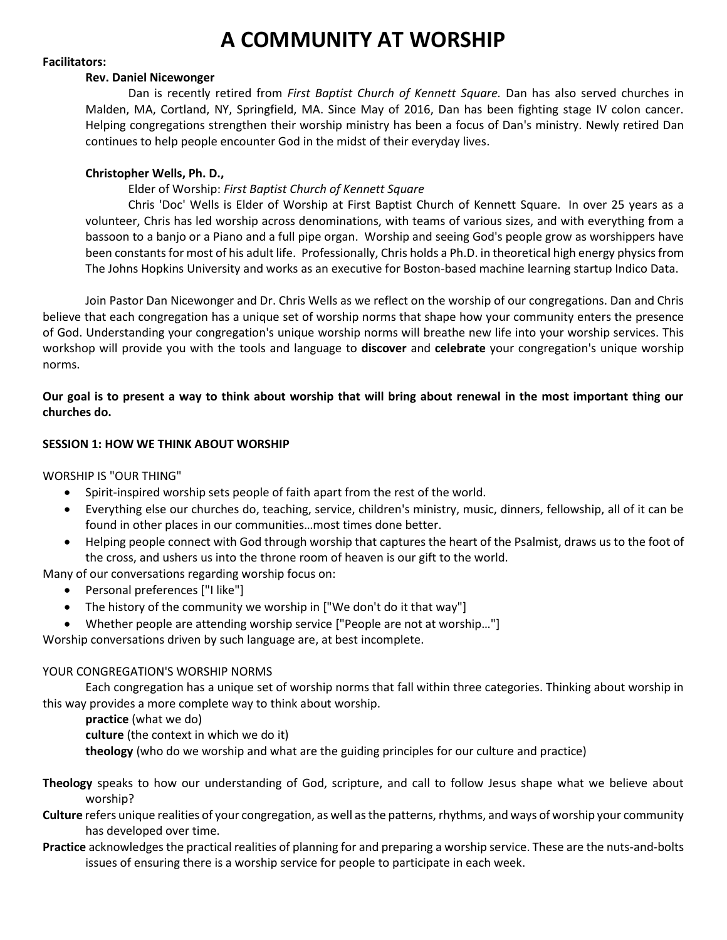# **A COMMUNITY AT WORSHIP**

#### **Facilitators:**

#### **Rev. Daniel Nicewonger**

Dan is recently retired from *First Baptist Church of Kennett Square.* Dan has also served churches in Malden, MA, Cortland, NY, Springfield, MA. Since May of 2016, Dan has been fighting stage IV colon cancer. Helping congregations strengthen their worship ministry has been a focus of Dan's ministry. Newly retired Dan continues to help people encounter God in the midst of their everyday lives.

## **Christopher Wells, Ph. D.,**

### Elder of Worship: *First Baptist Church of Kennett Square*

Chris 'Doc' Wells is Elder of Worship at First Baptist Church of Kennett Square. In over 25 years as a volunteer, Chris has led worship across denominations, with teams of various sizes, and with everything from a bassoon to a banjo or a Piano and a full pipe organ. Worship and seeing God's people grow as worshippers have been constants for most of his adult life. Professionally, Chris holds a Ph.D. in theoretical high energy physics from The Johns Hopkins University and works as an executive for Boston-based machine learning startup Indico Data.

Join Pastor Dan Nicewonger and Dr. Chris Wells as we reflect on the worship of our congregations. Dan and Chris believe that each congregation has a unique set of worship norms that shape how your community enters the presence of God. Understanding your congregation's unique worship norms will breathe new life into your worship services. This workshop will provide you with the tools and language to **discover** and **celebrate** your congregation's unique worship norms.

**Our goal is to present a way to think about worship that will bring about renewal in the most important thing our churches do.**

### **SESSION 1: HOW WE THINK ABOUT WORSHIP**

WORSHIP IS "OUR THING"

- Spirit-inspired worship sets people of faith apart from the rest of the world.
- Everything else our churches do, teaching, service, children's ministry, music, dinners, fellowship, all of it can be found in other places in our communities…most times done better.
- Helping people connect with God through worship that captures the heart of the Psalmist, draws us to the foot of the cross, and ushers us into the throne room of heaven is our gift to the world.

Many of our conversations regarding worship focus on:

- Personal preferences ["I like"]
- The history of the community we worship in ["We don't do it that way"]
- Whether people are attending worship service ["People are not at worship…"]

Worship conversations driven by such language are, at best incomplete.

### YOUR CONGREGATION'S WORSHIP NORMS

Each congregation has a unique set of worship norms that fall within three categories. Thinking about worship in this way provides a more complete way to think about worship.

**practice** (what we do)

**culture** (the context in which we do it)

**theology** (who do we worship and what are the guiding principles for our culture and practice)

- **Theology** speaks to how our understanding of God, scripture, and call to follow Jesus shape what we believe about worship?
- **Culture** refers unique realities of your congregation, as well as the patterns, rhythms, and ways of worship your community has developed over time.
- **Practice** acknowledges the practical realities of planning for and preparing a worship service. These are the nuts-and-bolts issues of ensuring there is a worship service for people to participate in each week.